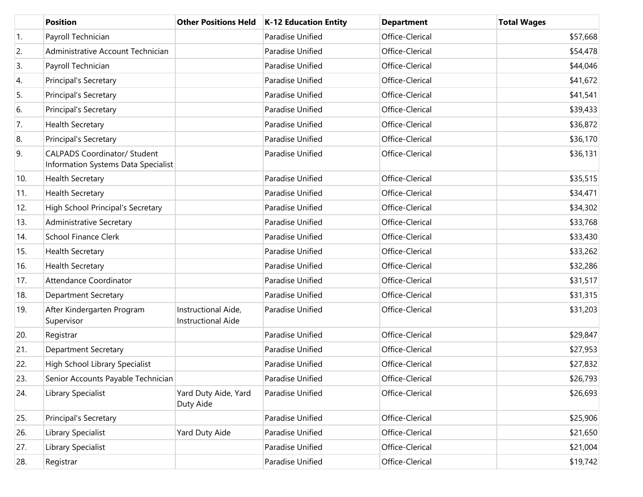|     | <b>Position</b>                                                            | <b>Other Positions Held</b>                      | <b>K-12 Education Entity</b> | <b>Department</b> | <b>Total Wages</b> |
|-----|----------------------------------------------------------------------------|--------------------------------------------------|------------------------------|-------------------|--------------------|
| 1.  | Payroll Technician                                                         |                                                  | Paradise Unified             | Office-Clerical   | \$57,668           |
| 2.  | Administrative Account Technician                                          |                                                  | Paradise Unified             | Office-Clerical   | \$54,478           |
| 3.  | Payroll Technician                                                         |                                                  | Paradise Unified             | Office-Clerical   | \$44,046           |
| 4.  | Principal's Secretary                                                      |                                                  | Paradise Unified             | Office-Clerical   | \$41,672           |
| 5.  | Principal's Secretary                                                      |                                                  | Paradise Unified             | Office-Clerical   | \$41,541           |
| 6.  | Principal's Secretary                                                      |                                                  | Paradise Unified             | Office-Clerical   | \$39,433           |
| 7.  | <b>Health Secretary</b>                                                    |                                                  | Paradise Unified             | Office-Clerical   | \$36,872           |
| 8.  | Principal's Secretary                                                      |                                                  | Paradise Unified             | Office-Clerical   | \$36,170           |
| 9.  | <b>CALPADS Coordinator/ Student</b><br>Information Systems Data Specialist |                                                  | Paradise Unified             | Office-Clerical   | \$36,131           |
| 10. | <b>Health Secretary</b>                                                    |                                                  | Paradise Unified             | Office-Clerical   | \$35,515           |
| 11. | <b>Health Secretary</b>                                                    |                                                  | Paradise Unified             | Office-Clerical   | \$34,471           |
| 12. | High School Principal's Secretary                                          |                                                  | Paradise Unified             | Office-Clerical   | \$34,302           |
| 13. | <b>Administrative Secretary</b>                                            |                                                  | Paradise Unified             | Office-Clerical   | \$33,768           |
| 14. | <b>School Finance Clerk</b>                                                |                                                  | Paradise Unified             | Office-Clerical   | \$33,430           |
| 15. | <b>Health Secretary</b>                                                    |                                                  | Paradise Unified             | Office-Clerical   | \$33,262           |
| 16. | <b>Health Secretary</b>                                                    |                                                  | Paradise Unified             | Office-Clerical   | \$32,286           |
| 17. | Attendance Coordinator                                                     |                                                  | Paradise Unified             | Office-Clerical   | \$31,517           |
| 18. | <b>Department Secretary</b>                                                |                                                  | Paradise Unified             | Office-Clerical   | \$31,315           |
| 19. | After Kindergarten Program<br>Supervisor                                   | Instructional Aide,<br><b>Instructional Aide</b> | Paradise Unified             | Office-Clerical   | \$31,203           |
| 20. | Registrar                                                                  |                                                  | Paradise Unified             | Office-Clerical   | \$29,847           |
| 21. | <b>Department Secretary</b>                                                |                                                  | Paradise Unified             | Office-Clerical   | \$27,953           |
| 22. | High School Library Specialist                                             |                                                  | Paradise Unified             | Office-Clerical   | \$27,832           |
| 23. | Senior Accounts Payable Technician                                         |                                                  | Paradise Unified             | Office-Clerical   | \$26,793           |
| 24. | Library Specialist                                                         | Yard Duty Aide, Yard<br>Duty Aide                | Paradise Unified             | Office-Clerical   | \$26,693           |
| 25. | Principal's Secretary                                                      |                                                  | Paradise Unified             | Office-Clerical   | \$25,906           |
| 26. | Library Specialist                                                         | Yard Duty Aide                                   | Paradise Unified             | Office-Clerical   | \$21,650           |
| 27. | Library Specialist                                                         |                                                  | Paradise Unified             | Office-Clerical   | \$21,004           |
| 28. | Registrar                                                                  |                                                  | Paradise Unified             | Office-Clerical   | \$19,742           |